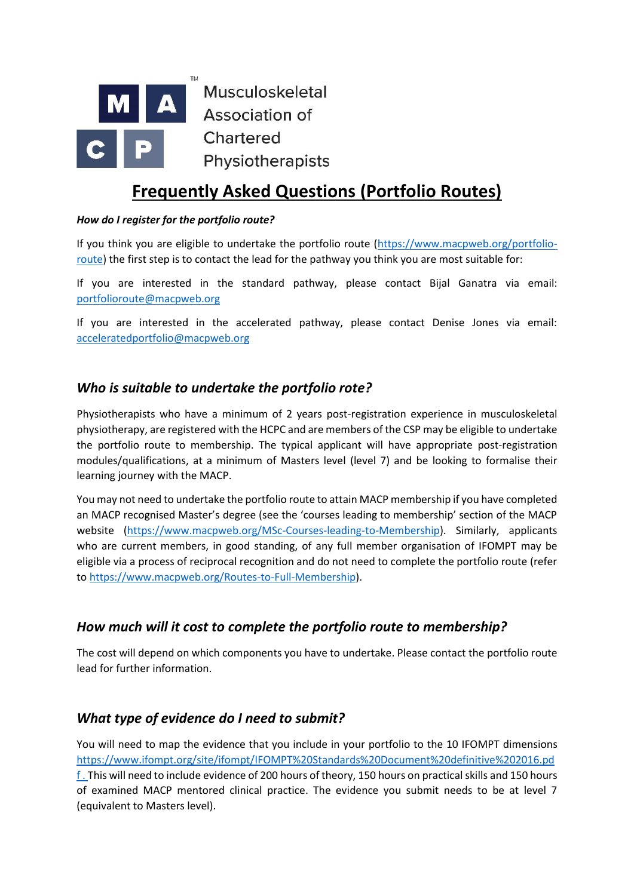

# **Frequently Asked Questions (Portfolio Routes)**

#### *How do I register for the portfolio route?*

If you think you are eligible to undertake the portfolio route [\(https://www.macpweb.org/portfolio](https://www.macpweb.org/portfolio-route)[route\)](https://www.macpweb.org/portfolio-route) the first step is to contact the lead for the pathway you think you are most suitable for:

If you are interested in the standard pathway, please contact Bijal Ganatra via email: [portfolioroute@macpweb.org](mailto:portfolioroute@macpweb.org)

If you are interested in the accelerated pathway, please contact Denise Jones via email: [acceleratedportfolio@macpweb.org](mailto:acceleratedportfolio@macpweb.org)

#### *Who is suitable to undertake the portfolio rote?*

Physiotherapists who have a minimum of 2 years post-registration experience in musculoskeletal physiotherapy, are registered with the HCPC and are members of the CSP may be eligible to undertake the portfolio route to membership. The typical applicant will have appropriate post-registration modules/qualifications, at a minimum of Masters level (level 7) and be looking to formalise their learning journey with the MACP.

You may not need to undertake the portfolio route to attain MACP membership if you have completed an MACP recognised Master's degree (see the 'courses leading to membership' section of the MACP website [\(https://www.macpweb.org/MSc-Courses-leading-to-Membership\)](https://www.macpweb.org/MSc-Courses-leading-to-Membership). Similarly, applicants who are current members, in good standing, of any full member organisation of IFOMPT may be eligible via a process of reciprocal recognition and do not need to complete the portfolio route (refer to [https://www.macpweb.org/Routes-to-Full-Membership\)](https://www.macpweb.org/Routes-to-Full-Membership).

#### *How much will it cost to complete the portfolio route to membership?*

The cost will depend on which components you have to undertake. Please contact the portfolio route lead for further information.

#### *What type of evidence do I need to submit?*

You will need to map the evidence that you include in your portfolio to the 10 IFOMPT dimensions [https://www.ifompt.org/site/ifompt/IFOMPT%20Standards%20Document%20definitive%202016.pd](https://www.ifompt.org/site/ifompt/IFOMPT%20Standards%20Document%20definitive%202016.pdf) [f](https://www.ifompt.org/site/ifompt/IFOMPT%20Standards%20Document%20definitive%202016.pdf) . This will need to include evidence of 200 hours of theory, 150 hours on practical skills and 150 hours of examined MACP mentored clinical practice. The evidence you submit needs to be at level 7 (equivalent to Masters level).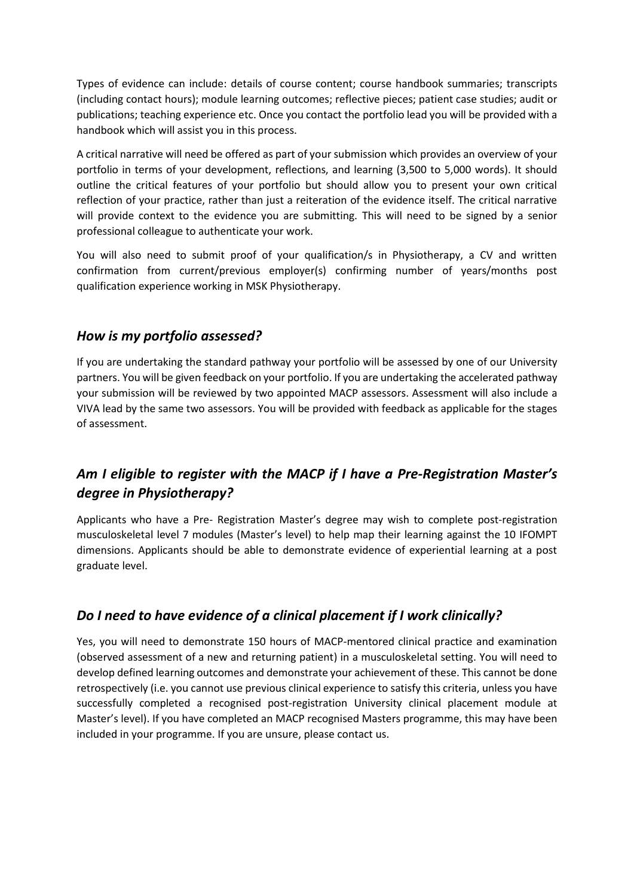Types of evidence can include: details of course content; course handbook summaries; transcripts (including contact hours); module learning outcomes; reflective pieces; patient case studies; audit or publications; teaching experience etc. Once you contact the portfolio lead you will be provided with a handbook which will assist you in this process.

A critical narrative will need be offered as part of your submission which provides an overview of your portfolio in terms of your development, reflections, and learning (3,500 to 5,000 words). It should outline the critical features of your portfolio but should allow you to present your own critical reflection of your practice, rather than just a reiteration of the evidence itself. The critical narrative will provide context to the evidence you are submitting. This will need to be signed by a senior professional colleague to authenticate your work.

You will also need to submit proof of your qualification/s in Physiotherapy, a CV and written confirmation from current/previous employer(s) confirming number of years/months post qualification experience working in MSK Physiotherapy.

#### *How is my portfolio assessed?*

If you are undertaking the standard pathway your portfolio will be assessed by one of our University partners. You will be given feedback on your portfolio. If you are undertaking the accelerated pathway your submission will be reviewed by two appointed MACP assessors. Assessment will also include a VIVA lead by the same two assessors. You will be provided with feedback as applicable for the stages of assessment.

### *Am I eligible to register with the MACP if I have a Pre-Registration Master's degree in Physiotherapy?*

Applicants who have a Pre- Registration Master's degree may wish to complete post-registration musculoskeletal level 7 modules (Master's level) to help map their learning against the 10 IFOMPT dimensions. Applicants should be able to demonstrate evidence of experiential learning at a post graduate level.

#### *Do I need to have evidence of a clinical placement if I work clinically?*

Yes, you will need to demonstrate 150 hours of MACP-mentored clinical practice and examination (observed assessment of a new and returning patient) in a musculoskeletal setting. You will need to develop defined learning outcomes and demonstrate your achievement of these. This cannot be done retrospectively (i.e. you cannot use previous clinical experience to satisfy this criteria, unless you have successfully completed a recognised post-registration University clinical placement module at Master's level). If you have completed an MACP recognised Masters programme, this may have been included in your programme. If you are unsure, please contact us.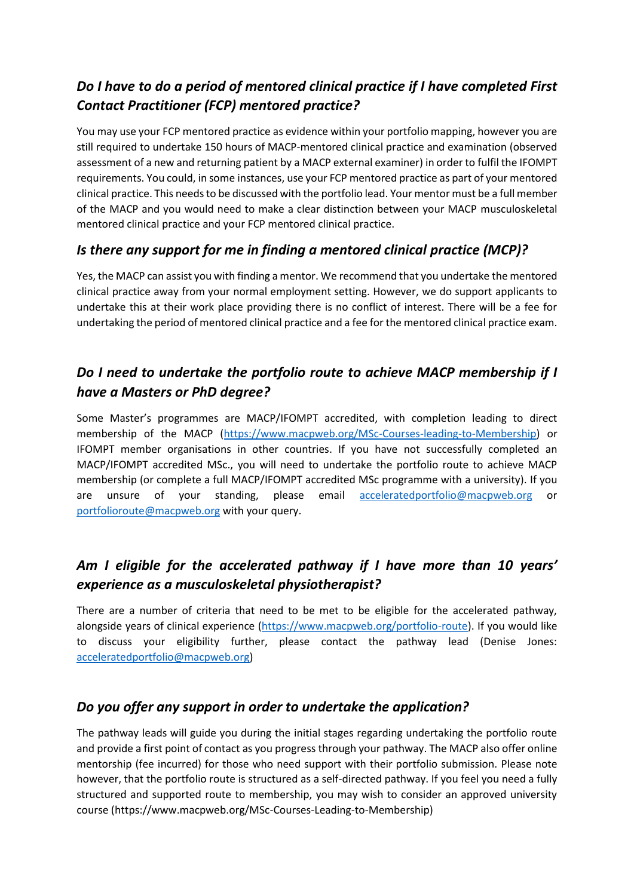### *Do I have to do a period of mentored clinical practice if I have completed First Contact Practitioner (FCP) mentored practice?*

You may use your FCP mentored practice as evidence within your portfolio mapping, however you are still required to undertake 150 hours of MACP-mentored clinical practice and examination (observed assessment of a new and returning patient by a MACP external examiner) in order to fulfil the IFOMPT requirements. You could, in some instances, use your FCP mentored practice as part of your mentored clinical practice. This needs to be discussed with the portfolio lead. Your mentor must be a full member of the MACP and you would need to make a clear distinction between your MACP musculoskeletal mentored clinical practice and your FCP mentored clinical practice.

### *Is there any support for me in finding a mentored clinical practice (MCP)?*

Yes, the MACP can assist you with finding a mentor. We recommend that you undertake the mentored clinical practice away from your normal employment setting. However, we do support applicants to undertake this at their work place providing there is no conflict of interest. There will be a fee for undertaking the period of mentored clinical practice and a fee for the mentored clinical practice exam.

### *Do I need to undertake the portfolio route to achieve MACP membership if I have a Masters or PhD degree?*

Some Master's programmes are MACP/IFOMPT accredited, with completion leading to direct membership of the MACP [\(https://www.macpweb.org/MSc-Courses-leading-to-Membership\)](https://www.macpweb.org/MSc-Courses-leading-to-Membership) or IFOMPT member organisations in other countries. If you have not successfully completed an MACP/IFOMPT accredited MSc., you will need to undertake the portfolio route to achieve MACP membership (or complete a full MACP/IFOMPT accredited MSc programme with a university). If you are unsure of your standing, please email [acceleratedportfolio@macpweb.org](mailto:acceleratedportfolio@macpweb.org) or [portfolioroute@macpweb.org](mailto:portfolioroute@macpweb.org) with your query.

## *Am I eligible for the accelerated pathway if I have more than 10 years' experience as a musculoskeletal physiotherapist?*

There are a number of criteria that need to be met to be eligible for the accelerated pathway, alongside years of clinical experience [\(https://www.macpweb.org/portfolio-route\)](https://www.macpweb.org/portfolio-route). If you would like to discuss your eligibility further, please contact the pathway lead (Denise Jones: [acceleratedportfolio@macpweb.org\)](mailto:acceleratedportfolio@macpweb.org)

#### *Do you offer any support in order to undertake the application?*

The pathway leads will guide you during the initial stages regarding undertaking the portfolio route and provide a first point of contact as you progress through your pathway. The MACP also offer online mentorship (fee incurred) for those who need support with their portfolio submission. Please note however, that the portfolio route is structured as a self-directed pathway. If you feel you need a fully structured and supported route to membership, you may wish to consider an approved university course (https://www.macpweb.org/MSc-Courses-Leading-to-Membership)